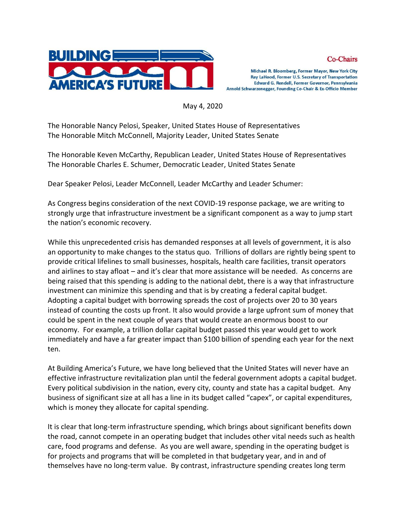



May 4, 2020

The Honorable Nancy Pelosi, Speaker, United States House of Representatives The Honorable Mitch McConnell, Majority Leader, United States Senate

The Honorable Keven McCarthy, Republican Leader, United States House of Representatives The Honorable Charles E. Schumer, Democratic Leader, United States Senate

Dear Speaker Pelosi, Leader McConnell, Leader McCarthy and Leader Schumer:

As Congress begins consideration of the next COVID-19 response package, we are writing to strongly urge that infrastructure investment be a significant component as a way to jump start the nation's economic recovery.

While this unprecedented crisis has demanded responses at all levels of government, it is also an opportunity to make changes to the status quo. Trillions of dollars are rightly being spent to provide critical lifelines to small businesses, hospitals, health care facilities, transit operators and airlines to stay afloat – and it's clear that more assistance will be needed. As concerns are being raised that this spending is adding to the national debt, there is a way that infrastructure investment can minimize this spending and that is by creating a federal capital budget. Adopting a capital budget with borrowing spreads the cost of projects over 20 to 30 years instead of counting the costs up front. It also would provide a large upfront sum of money that could be spent in the next couple of years that would create an enormous boost to our economy. For example, a trillion dollar capital budget passed this year would get to work immediately and have a far greater impact than \$100 billion of spending each year for the next ten.

At Building America's Future, we have long believed that the United States will never have an effective infrastructure revitalization plan until the federal government adopts a capital budget. Every political subdivision in the nation, every city, county and state has a capital budget. Any business of significant size at all has a line in its budget called "capex", or capital expenditures, which is money they allocate for capital spending.

It is clear that long-term infrastructure spending, which brings about significant benefits down the road, cannot compete in an operating budget that includes other vital needs such as health care, food programs and defense. As you are well aware, spending in the operating budget is for projects and programs that will be completed in that budgetary year, and in and of themselves have no long-term value. By contrast, infrastructure spending creates long term